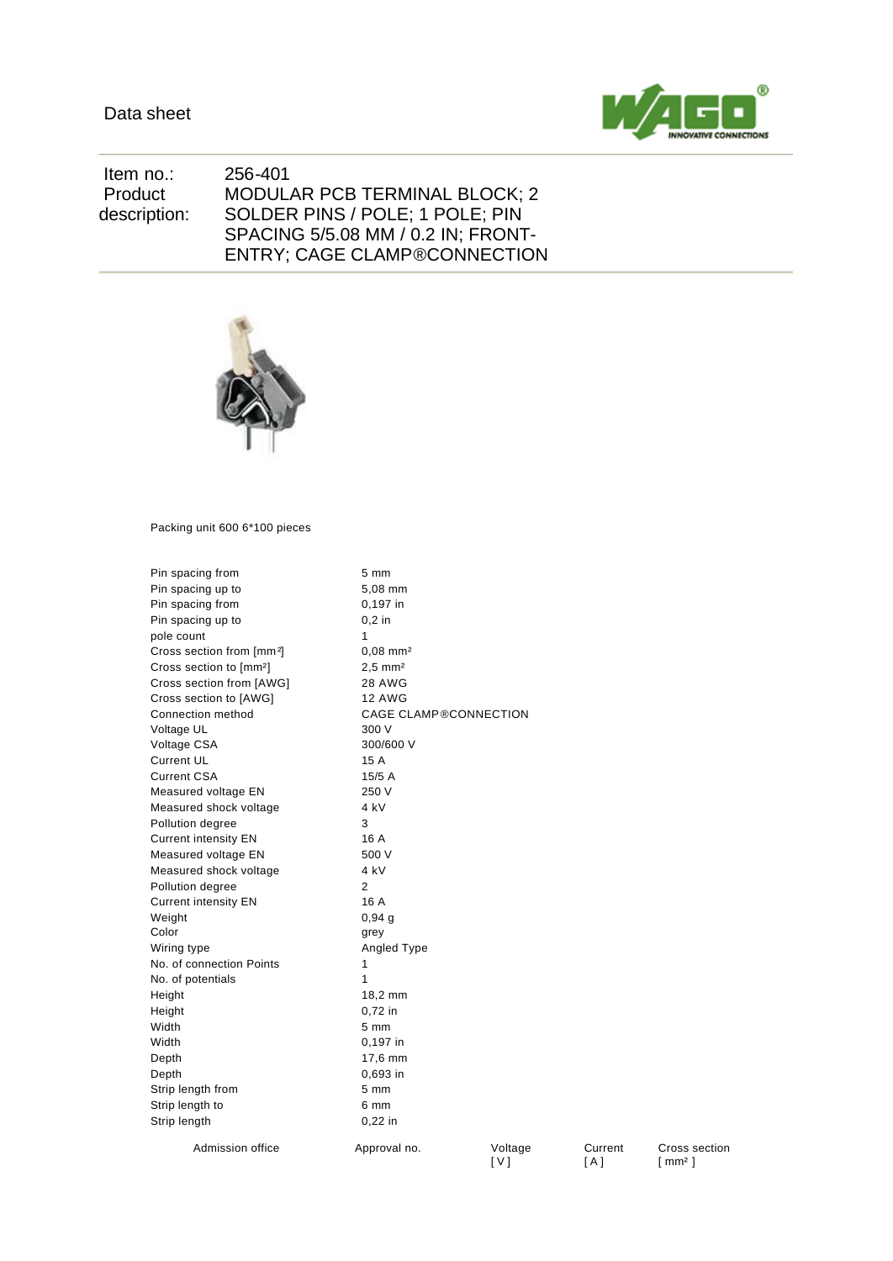

 Item no.: 256-401 Product description: MODULAR PCB TERMINAL BLOCK; 2 SOLDER PINS / POLE; 1 POLE; PIN SPACING 5/5.08 MM / 0.2 IN; FRONT-ENTRY; CAGE CLAMP®CONNECTION



Packing unit 600 6\*100 pieces

| Pin spacing from                      | 5 mm                   |                              |  |  |
|---------------------------------------|------------------------|------------------------------|--|--|
| Pin spacing up to                     | 5,08 mm                |                              |  |  |
| Pin spacing from                      | 0,197 in               |                              |  |  |
| Pin spacing up to                     | $0.2$ in               |                              |  |  |
| pole count                            | 1                      |                              |  |  |
| Cross section from [mm <sup>2</sup> ] | $0.08$ mm <sup>2</sup> |                              |  |  |
| Cross section to [mm <sup>2</sup> ]   | $2,5$ mm <sup>2</sup>  |                              |  |  |
| Cross section from [AWG]              | <b>28 AWG</b>          |                              |  |  |
| Cross section to [AWG]                | <b>12 AWG</b>          |                              |  |  |
| Connection method                     |                        | <b>CAGE CLAMP®CONNECTION</b> |  |  |
| Voltage UL                            | 300 V                  |                              |  |  |
| Voltage CSA                           | 300/600 V              |                              |  |  |
| <b>Current UL</b>                     | 15A                    |                              |  |  |
| <b>Current CSA</b>                    | 15/5A                  |                              |  |  |
| Measured voltage EN                   | 250 V                  |                              |  |  |
| Measured shock voltage                | 4 kV                   |                              |  |  |
| Pollution degree                      | 3                      |                              |  |  |
| <b>Current intensity EN</b>           | 16 A                   |                              |  |  |
| Measured voltage EN                   | 500 V                  |                              |  |  |
| Measured shock voltage                | 4 kV                   |                              |  |  |
| Pollution degree                      | 2                      |                              |  |  |
| <b>Current intensity EN</b>           | 16 A                   |                              |  |  |
| Weight                                | 0,94,9                 |                              |  |  |
| Color                                 | grey                   |                              |  |  |
| Wiring type                           | Angled Type            |                              |  |  |
| No. of connection Points              | 1                      |                              |  |  |
| No. of potentials                     | 1                      |                              |  |  |
| Height                                | 18,2 mm                |                              |  |  |
| Height                                | 0,72 in                |                              |  |  |
| Width                                 | $5 \, \text{mm}$       |                              |  |  |
| Width                                 | 0,197 in               |                              |  |  |
| Depth                                 | 17,6 mm                |                              |  |  |
| Depth                                 | 0,693 in               |                              |  |  |
| Strip length from                     | $5 \, \text{mm}$       |                              |  |  |
| Strip length to                       | 6 mm                   |                              |  |  |
| Strip length                          | $0,22$ in              |                              |  |  |
| Admission office                      | Approval no.           | Voltage                      |  |  |

Current [ A ]

[ V ]

Cross section [ mm² ]